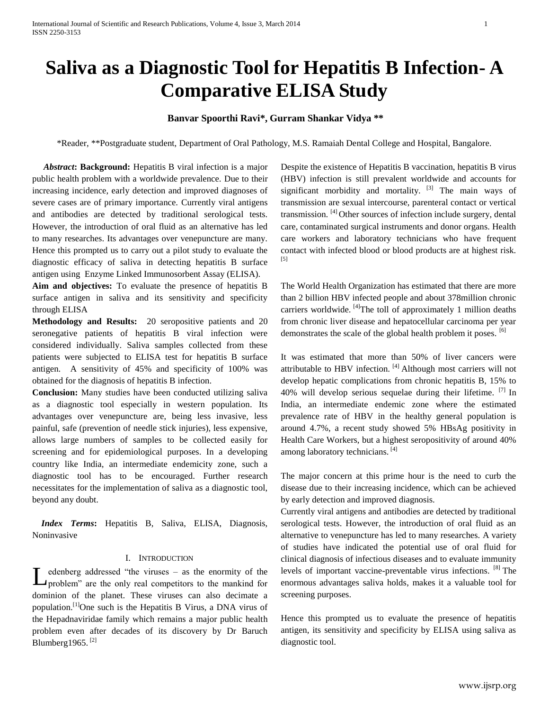# **Saliva as a Diagnostic Tool for Hepatitis B Infection- A Comparative ELISA Study**

# **Banvar Spoorthi Ravi\*, Gurram Shankar Vidya \*\***

\*Reader, \*\*Postgraduate student, Department of Oral Pathology, M.S. Ramaiah Dental College and Hospital, Bangalore.

 *Abstract***: Background:** Hepatitis B viral infection is a major public health problem with a worldwide prevalence. Due to their increasing incidence, early detection and improved diagnoses of severe cases are of primary importance. Currently viral antigens and antibodies are detected by traditional serological tests. However, the introduction of oral fluid as an alternative has led to many researches. Its advantages over venepuncture are many. Hence this prompted us to carry out a pilot study to evaluate the diagnostic efficacy of saliva in detecting hepatitis B surface antigen using Enzyme Linked Immunosorbent Assay (ELISA).

**Aim and objectives:** To evaluate the presence of hepatitis B surface antigen in saliva and its sensitivity and specificity through ELISA

**Methodology and Results:** 20 seropositive patients and 20 seronegative patients of hepatitis B viral infection were considered individually. Saliva samples collected from these patients were subjected to ELISA test for hepatitis B surface antigen. A sensitivity of 45% and specificity of 100% was obtained for the diagnosis of hepatitis B infection.

**Conclusion:** Many studies have been conducted utilizing saliva as a diagnostic tool especially in western population. Its advantages over venepuncture are, being less invasive, less painful, safe (prevention of needle stick injuries), less expensive, allows large numbers of samples to be collected easily for screening and for epidemiological purposes. In a developing country like India, an intermediate endemicity zone, such a diagnostic tool has to be encouraged. Further research necessitates for the implementation of saliva as a diagnostic tool, beyond any doubt.

 *Index Terms***:** Hepatitis B, Saliva, ELISA, Diagnosis, Noninvasive

# I. INTRODUCTION

edenberg addressed "the viruses – as the enormity of the Let ender a denote the viruses - as the enormity of the problem" are the only real competitors to the mankind for dominion of the planet. These viruses can also decimate a population.[1]One such is the Hepatitis B Virus, a DNA virus of the Hepadnaviridae family which remains a major public health problem even after decades of its discovery by Dr Baruch Blumberg1965.<sup>[2]</sup>

Despite the existence of Hepatitis B vaccination, hepatitis B virus (HBV) infection is still prevalent worldwide and accounts for significant morbidity and mortality.  $^{[3]}$  The main ways of transmission are sexual intercourse, parenteral contact or vertical transmission. [4] Other sources of infection include surgery, dental care, contaminated surgical instruments and donor organs. Health care workers and laboratory technicians who have frequent contact with infected blood or blood products are at highest risk. [5]

The World Health Organization has estimated that there are more than 2 billion HBV infected people and about 378million chronic carriers worldwide.  $[4]$ The toll of approximately 1 million deaths from chronic liver disease and hepatocellular carcinoma per year demonstrates the scale of the global health problem it poses. [6]

It was estimated that more than 50% of liver cancers were attributable to HBV infection.  $[4]$  Although most carriers will not develop hepatic complications from chronic hepatitis B, 15% to 40% will develop serious sequelae during their lifetime.  $^{[7]}$  In India, an intermediate endemic zone where the estimated prevalence rate of HBV in the healthy general population is around 4.7%, a recent study showed 5% HBsAg positivity in Health Care Workers, but a highest seropositivity of around 40% among laboratory technicians.<sup>[4]</sup>

The major concern at this prime hour is the need to curb the disease due to their increasing incidence, which can be achieved by early detection and improved diagnosis.

Currently viral antigens and antibodies are detected by traditional serological tests. However, the introduction of oral fluid as an alternative to venepuncture has led to many researches. A variety of studies have indicated the potential use of oral fluid for clinical diagnosis of infectious diseases and to evaluate immunity levels of important vaccine-preventable virus infections. [8] The enormous advantages saliva holds, makes it a valuable tool for screening purposes.

Hence this prompted us to evaluate the presence of hepatitis antigen, its sensitivity and specificity by ELISA using saliva as diagnostic tool.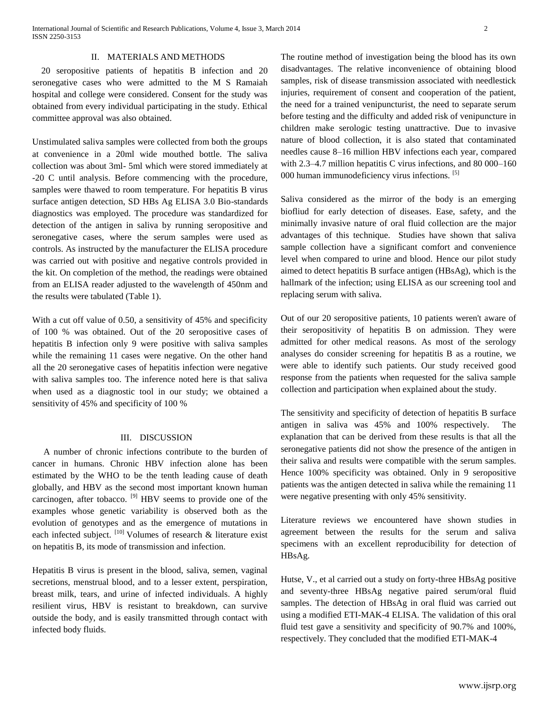20 seropositive patients of hepatitis B infection and 20 seronegative cases who were admitted to the M S Ramaiah hospital and college were considered. Consent for the study was obtained from every individual participating in the study. Ethical committee approval was also obtained.

Unstimulated saliva samples were collected from both the groups at convenience in a 20ml wide mouthed bottle. The saliva collection was about 3ml- 5ml which were stored immediately at -20 C until analysis. Before commencing with the procedure, samples were thawed to room temperature. For hepatitis B virus surface antigen detection, SD HBs Ag ELISA 3.0 Bio-standards diagnostics was employed. The procedure was standardized for detection of the antigen in saliva by running seropositive and seronegative cases, where the serum samples were used as controls. As instructed by the manufacturer the ELISA procedure was carried out with positive and negative controls provided in the kit. On completion of the method, the readings were obtained from an ELISA reader adjusted to the wavelength of 450nm and the results were tabulated (Table 1).

With a cut off value of 0.50, a sensitivity of 45% and specificity of 100 % was obtained. Out of the 20 seropositive cases of hepatitis B infection only 9 were positive with saliva samples while the remaining 11 cases were negative. On the other hand all the 20 seronegative cases of hepatitis infection were negative with saliva samples too. The inference noted here is that saliva when used as a diagnostic tool in our study; we obtained a sensitivity of 45% and specificity of 100 %

#### III. DISCUSSION

 A number of chronic infections contribute to the burden of cancer in humans. Chronic HBV infection alone has been estimated by the WHO to be the tenth leading cause of death globally, and HBV as the second most important known human carcinogen, after tobacco. [9] HBV seems to provide one of the examples whose genetic variability is observed both as the evolution of genotypes and as the emergence of mutations in each infected subject.  $[10]$  Volumes of research & literature exist on hepatitis B, its mode of transmission and infection.

Hepatitis B virus is present in the blood, saliva, semen, vaginal secretions, menstrual blood, and to a lesser extent, perspiration, breast milk, tears, and urine of infected individuals. A highly resilient virus, HBV is resistant to breakdown, can survive outside the body, and is easily transmitted through contact with infected body fluids.

The routine method of investigation being the blood has its own disadvantages. The relative inconvenience of obtaining blood samples, risk of disease transmission associated with needlestick injuries, requirement of consent and cooperation of the patient, the need for a trained venipuncturist, the need to separate serum before testing and the difficulty and added risk of venipuncture in children make serologic testing unattractive. Due to invasive nature of blood collection, it is also stated that contaminated needles cause 8–16 million HBV infections each year, compared with 2.3–4.7 million hepatitis C virus infections, and 80 000–160 000 human immunodeficiency virus infections. [5]

Saliva considered as the mirror of the body is an emerging biofliud for early detection of diseases. Ease, safety, and the minimally invasive nature of oral fluid collection are the major advantages of this technique. Studies have shown that saliva sample collection have a significant comfort and convenience level when compared to urine and blood. Hence our pilot study aimed to detect hepatitis B surface antigen (HBsAg), which is the hallmark of the infection; using ELISA as our screening tool and replacing serum with saliva.

Out of our 20 seropositive patients, 10 patients weren't aware of their seropositivity of hepatitis B on admission. They were admitted for other medical reasons. As most of the serology analyses do consider screening for hepatitis B as a routine, we were able to identify such patients. Our study received good response from the patients when requested for the saliva sample collection and participation when explained about the study.

The sensitivity and specificity of detection of hepatitis B surface antigen in saliva was 45% and 100% respectively. The explanation that can be derived from these results is that all the seronegative patients did not show the presence of the antigen in their saliva and results were compatible with the serum samples. Hence 100% specificity was obtained. Only in 9 seropositive patients was the antigen detected in saliva while the remaining 11 were negative presenting with only 45% sensitivity.

Literature reviews we encountered have shown studies in agreement between the results for the serum and saliva specimens with an excellent reproducibility for detection of HBsAg.

Hutse, V., et al carried out a study on forty-three HBsAg positive and seventy-three HBsAg negative paired serum/oral fluid samples. The detection of HBsAg in oral fluid was carried out using a modified ETI-MAK-4 ELISA. The validation of this oral fluid test gave a sensitivity and specificity of 90.7% and 100%, respectively. They concluded that the modified ETI-MAK-4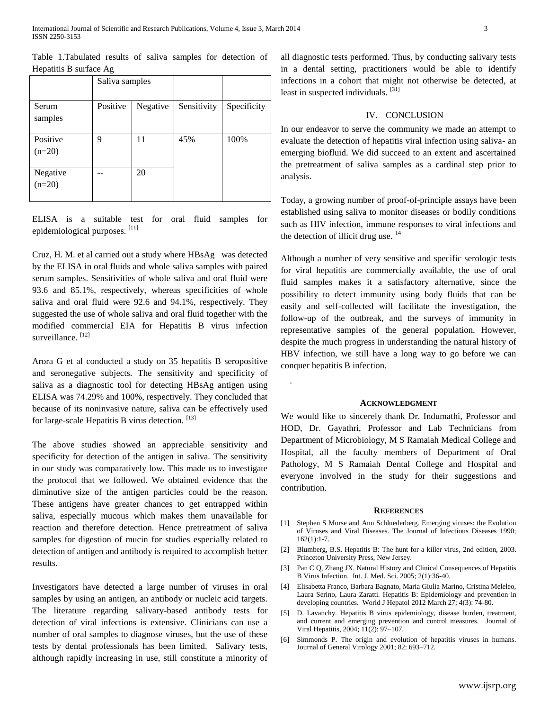Table 1.Tabulated results of saliva samples for detection of Hepatitis B surface Ag

|                      | Saliva samples |          |             |             |
|----------------------|----------------|----------|-------------|-------------|
| Serum<br>samples     | Positive       | Negative | Sensitivity | Specificity |
| Positive<br>$(n=20)$ | 9              | 11       | 45%         | 100%        |
| Negative<br>$(n=20)$ |                | 20       |             |             |

ELISA is a suitable test for oral fluid samples for epidemiological purposes. [11]

Cruz, H. M. et al carried out a study where HBsAg was detected by the ELISA in oral fluids and whole saliva samples with paired serum samples. Sensitivities of whole saliva and oral fluid were 93.6 and 85.1%, respectively, whereas specificities of whole saliva and oral fluid were 92.6 and 94.1%, respectively. They suggested the use of whole saliva and oral fluid together with the modified commercial EIA for Hepatitis B virus infection surveillance.<sup>[12]</sup>

[Arora G](http://www.ncbi.nlm.nih.gov/pubmed?term=Arora%20G%5BAuthor%5D&cauthor=true&cauthor_uid=22479783) et al conducted a study on 35 hepatitis B seropositive and seronegative subjects. The sensitivity and specificity of saliva as a diagnostic tool for detecting HBsAg antigen using ELISA was 74.29% and 100%, respectively. They concluded that because of its noninvasive nature, saliva can be effectively used for large-scale Hepatitis B virus detection. [13]

The above studies showed an appreciable sensitivity and specificity for detection of the antigen in saliva. The sensitivity in our study was comparatively low. This made us to investigate the protocol that we followed. We obtained evidence that the diminutive size of the antigen particles could be the reason. These antigens have greater chances to get entrapped within saliva, especially mucous which makes them unavailable for reaction and therefore detection. Hence pretreatment of saliva samples for digestion of mucin for studies especially related to detection of antigen and antibody is required to accomplish better results.

Investigators have detected a large number of viruses in oral samples by using an antigen, an antibody or nucleic acid targets. The literature regarding salivary-based antibody tests for detection of viral infections is extensive. Clinicians can use a number of oral samples to diagnose viruses, but the use of these tests by dental professionals has been limited. Salivary tests, although rapidly increasing in use, still constitute a minority of all diagnostic tests performed. Thus, by conducting salivary tests in a dental setting, practitioners would be able to identify infections in a cohort that might not otherwise be detected, at least in suspected individuals. [31]

## IV. CONCLUSION

In our endeavor to serve the community we made an attempt to evaluate the detection of hepatitis viral infection using saliva- an emerging biofluid. We did succeed to an extent and ascertained the pretreatment of saliva samples as a cardinal step prior to analysis.

Today, a growing number of proof-of-principle assays have been established using saliva to monitor diseases or bodily conditions such as HIV infection, immune responses to viral infections and the detection of illicit drug use.  $14$ 

Although a number of very sensitive and specific serologic tests for viral hepatitis are commercially available, the use of oral fluid samples makes it a satisfactory alternative, since the possibility to detect immunity using body fluids that can be easily and self-collected will facilitate the investigation, the follow-up of the outbreak, and the surveys of immunity in representative samples of the general population. However, despite the much progress in understanding the natural history of HBV infection, we still have a long way to go before we can conquer hepatitis B infection.

.

#### **ACKNOWLEDGMENT**

We would like to sincerely thank Dr. Indumathi, Professor and HOD, Dr. Gayathri, Professor and Lab Technicians from Department of Microbiology, M S Ramaiah Medical College and Hospital, all the faculty members of Department of Oral Pathology, M S Ramaiah Dental College and Hospital and everyone involved in the study for their suggestions and contribution.

#### **REFERENCES**

- [1] Stephen S Morse and Ann Schluederberg. Emerging viruses: the Evolution of Viruses and Viral Diseases. The Journal of Infectious Diseases 1990;  $162(1):1-7.$
- [2] Blumberg, B.S**.** Hepatitis B: The hunt for a killer virus, 2nd edition, 2003. Princeton University Press, New Jersey.
- [3] Pan C Q, Zhang JX. Natural History and Clinical Consequences of Hepatitis B Virus Infection. Int. J. Med. Sci. 2005; 2(1):36-40.
- [4] Elisabetta Franco, Barbara Bagnato, Maria Giulia Marino, Cristina Meleleo, Laura Serino, Laura Zaratti. Hepatitis B: Epidemiology and prevention in developing countries. World J Hepatol 2012 March 27; 4(3): 74-80.
- [5] D. Lavanchy. Hepatitis B virus epidemiology, disease burden, treatment, and current and emerging prevention and control measures. Journal of Viral Hepatitis, 2004; 11(2): 97–107.
- [6] Simmonds P. The origin and evolution of hepatitis viruses in humans. Journal of General Virology 2001; 82: 693–712.